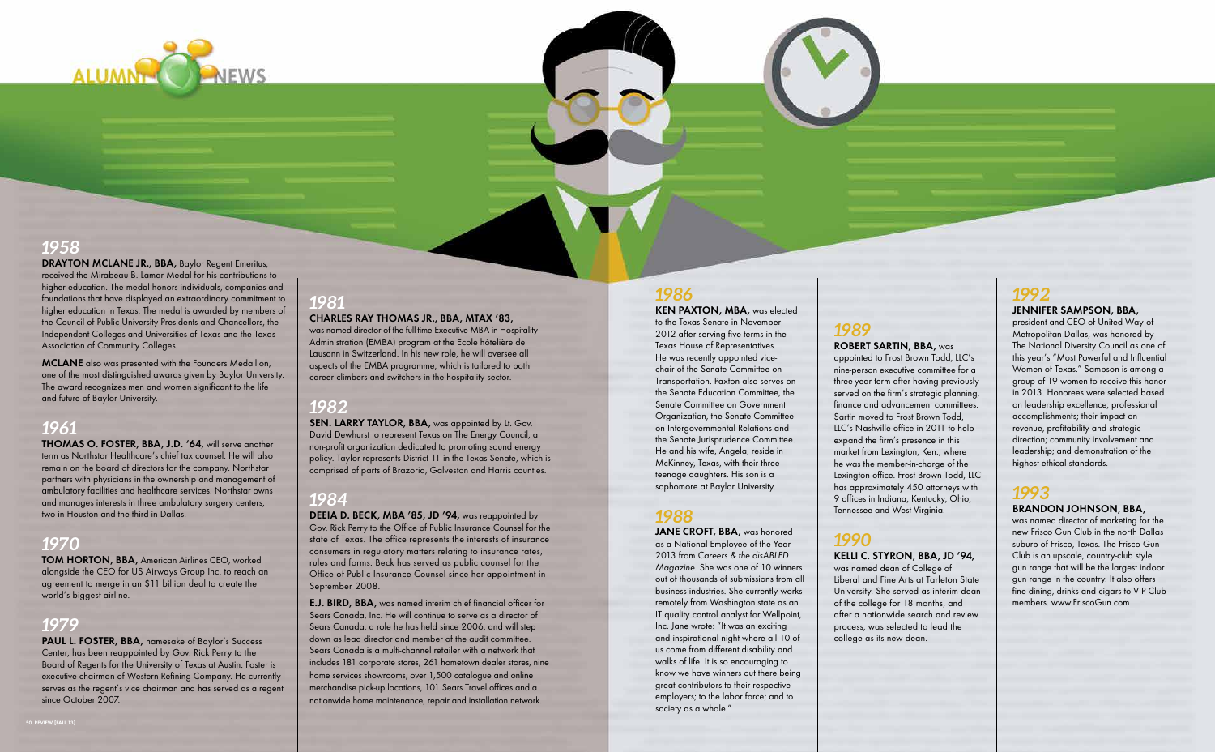### *1986*

**KEN PAXTON, MBA, was elected** to the Texas Senate in November 2012 after serving five terms in the Texas House of Representatives. He was recently appointed vicechair of the Senate Committee on Transportation. Paxton also serves on the Senate Education Committee, the Senate Committee on Government Organization, the Senate Committee on Intergovernmental Relations and the Senate Jurisprudence Committee. He and his wife, Angela, reside in McKinney, Texas, with their three teenage daughters. His son is a sophomore at Baylor University.

### *1988*

JANE CROFT, BBA, was honored as a National Employee of the Year-2013 from Careers & the disABLED Magazine. She was one of 10 winners out of thousands of submissions from all business industries. She currently works remotely from Washington state as an IT quality control analyst for Wellpoint, Inc. Jane wrote: "It was an exciting and inspirational night where all 10 of us come from different disability and walks of life. It is so encouraging to know we have winners out there being great contributors to their respective employers; to the labor force; and to society as a whole."

### *1989*

#### **Robert Sartin, BBA,** was

was named director of marketing for the new Frisco Gun Club in the north Dallas suburb of Frisco, Texas. The Frisco Gun Club is an upscale, country-club style gun range that will be the largest indoor gun range in the country. It also offers fine dining, drinks and cigars to VIP Club members. www.FriscoGun.com

appointed to Frost Brown Todd, LLC's nine-person executive committee for a three-year term after having previously served on the firm's strategic planning, finance and advancement committees. Sartin moved to Frost Brown Todd, LLC's Nashville office in 2011 to help expand the firm's presence in this market from Lexington, Ken., where he was the member-in-charge of the Lexington office. Frost Brown Todd, LLC has approximately 450 attorneys with 9 offices in Indiana, Kentucky, Ohio, Tennessee and West Virginia.

### *1990*

#### **Kelli C. Styron, BBA, JD '94,**

**MCLANE** also was presented with the Founders Medallion, one of the most distinguished awards given by Baylor University. The award recognizes men and women significant to the life and future of Baylor University.

> was named dean of College of Liberal and Fine Arts at Tarleton State University. She served as interim dean of the college for 18 months, and after a nationwide search and review process, was selected to lead the college as its new dean.

### *1992*

#### **Jennifer Sampson, BBA,**

PAUL L. FOSTER, BBA, namesake of Baylor's Success Center, has been reappointed by Gov. Rick Perry to the Board of Regents for the University of Texas at Austin. Foster is executive chairman of Western Refining Company. He currently serves as the regent's vice chairman and has served as a regent since October 2007.

president and CEO of United Way of Metropolitan Dallas, was honored by The National Diversity Council as one of this year's "Most Powerful and Influential Women of Texas." Sampson is among a group of 19 women to receive this honor in 2013. Honorees were selected based on leadership excellence; professional accomplishments; their impact on revenue, profitability and strategic direction; community involvement and leadership; and demonstration of the highest ethical standards.

# *1993*

#### **Brandon Johnson, BBA,**

SEN. LARRY TAYLOR, BBA, was appointed by Lt. Gov. David Dewhurst to represent Texas on The Energy Council, a non-profit organization dedicated to promoting sound energy policy. Taylor represents District 11 in the Texas Senate, which is comprised of parts of Brazoria, Galveston and Harris counties.

**DEEIA D. BECK, MBA '85, JD '94, was reappointed by** Gov. Rick Perry to the Office of Public Insurance Counsel for the state of Texas. The office represents the interests of insurance consumers in regulatory matters relating to insurance rates, rules and forms. Beck has served as public counsel for the Office of Public Insurance Counsel since her appointment in September 2008.



# *1958*

**E.J. BIRD, BBA,** was named interim chief financial officer for Sears Canada, Inc. He will continue to serve as a director of Sears Canada, a role he has held since 2006, and will step down as lead director and member of the audit committee. Sears Canada is a multi-channel retailer with a network that includes 181 corporate stores, 261 hometown dealer stores, nine home services showrooms, over 1,500 catalogue and online merchandise pick-up locations, 101 Sears Travel offices and a nationwide home maintenance, repair and installation network.

**Drayton McLane Jr., BBA,** Baylor Regent Emeritus, received the Mirabeau B. Lamar Medal for his contributions to higher education. The medal honors individuals, companies and foundations that have displayed an extraordinary commitment to higher education in Texas. The medal is awarded by members of the Council of Public University Presidents and Chancellors, the Independent Colleges and Universities of Texas and the Texas Association of Community Colleges.

### *1961*

**Thomas O. Foster, BBA, J.D. '64,** will serve another term as Northstar Healthcare's chief tax counsel. He will also remain on the board of directors for the company. Northstar partners with physicians in the ownership and management of ambulatory facilities and healthcare services. Northstar owns and manages interests in three ambulatory surgery centers, two in Houston and the third in Dallas.

# *1970*

**Tom Horton, BBA,** American Airlines CEO, worked alongside the CEO for US Airways Group Inc. to reach an agreement to merge in an \$11 billion deal to create the world's biggest airline.

# *1979*

# *1981*

#### **Charles Ray Thomas Jr., BBA, MTax '83,**

was named director of the full-time Executive MBA in Hospitality Administration (EMBA) program at the Ecole hôtelière de Lausann in Switzerland. In his new role, he will oversee all aspects of the EMBA programme, which is tailored to both career climbers and switchers in the hospitality sector.

### *1982*

### *1984*